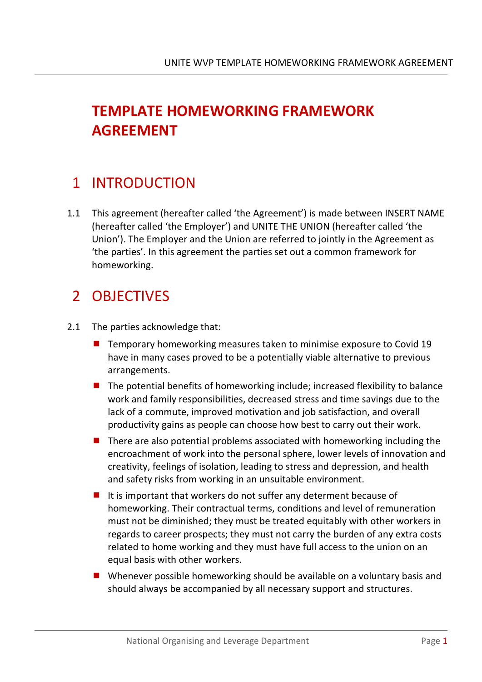# **TEMPLATE HOMEWORKING FRAMEWORK AGREEMENT**

#### 1 INTRODUCTION

1.1 This agreement (hereafter called 'the Agreement') is made between INSERT NAME (hereafter called 'the Employer') and UNITE THE UNION (hereafter called 'the Union'). The Employer and the Union are referred to jointly in the Agreement as 'the parties'. In this agreement the parties set out a common framework for homeworking.

### 2 OBJECTIVES

- 2.1 The parties acknowledge that:
	- $\blacksquare$  Temporary homeworking measures taken to minimise exposure to Covid 19 have in many cases proved to be a potentially viable alternative to previous arrangements.
	- $\blacksquare$  The potential benefits of homeworking include; increased flexibility to balance work and family responsibilities, decreased stress and time savings due to the lack of a commute, improved motivation and job satisfaction, and overall productivity gains as people can choose how best to carry out their work.
	- $\blacksquare$  There are also potential problems associated with homeworking including the encroachment of work into the personal sphere, lower levels of innovation and creativity, feelings of isolation, leading to stress and depression, and health and safety risks from working in an unsuitable environment.
	- $\blacksquare$  It is important that workers do not suffer any determent because of homeworking. Their contractual terms, conditions and level of remuneration must not be diminished; they must be treated equitably with other workers in regards to career prospects; they must not carry the burden of any extra costs related to home working and they must have full access to the union on an equal basis with other workers.
	- Whenever possible homeworking should be available on a voluntary basis and should always be accompanied by all necessary support and structures.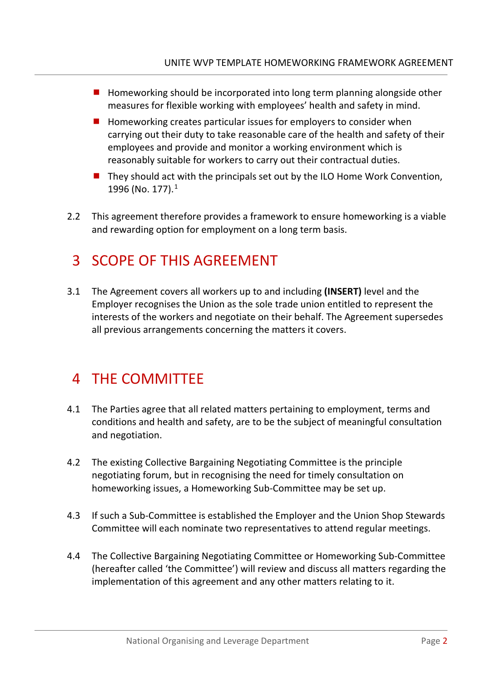- $\blacksquare$  Homeworking should be incorporated into long term planning alongside other measures for flexible working with employees' health and safety in mind.
- $\blacksquare$  Homeworking creates particular issues for employers to consider when carrying out their duty to take reasonable care of the health and safety of their employees and provide and monitor a working environment which is reasonably suitable for workers to carry out their contractual duties.
- $\blacksquare$  They should act with the principals set out by the ILO Home Work Convention, [1](#page-8-0)996 (No. 177).<sup>1</sup>
- 2.2 This agreement therefore provides a framework to ensure homeworking is a viable and rewarding option for employment on a long term basis.

### 3 SCOPE OF THIS AGREEMENT

3.1 The Agreement covers all workers up to and including **(INSERT)** level and the Employer recognises the Union as the sole trade union entitled to represent the interests of the workers and negotiate on their behalf. The Agreement supersedes all previous arrangements concerning the matters it covers.

#### 4 THE COMMITTEE

- 4.1 The Parties agree that all related matters pertaining to employment, terms and conditions and health and safety, are to be the subject of meaningful consultation and negotiation.
- 4.2 The existing Collective Bargaining Negotiating Committee is the principle negotiating forum, but in recognising the need for timely consultation on homeworking issues, a Homeworking Sub-Committee may be set up.
- 4.3 If such a Sub-Committee is established the Employer and the Union Shop Stewards Committee will each nominate two representatives to attend regular meetings.
- 4.4 The Collective Bargaining Negotiating Committee or Homeworking Sub-Committee (hereafter called 'the Committee') will review and discuss all matters regarding the implementation of this agreement and any other matters relating to it.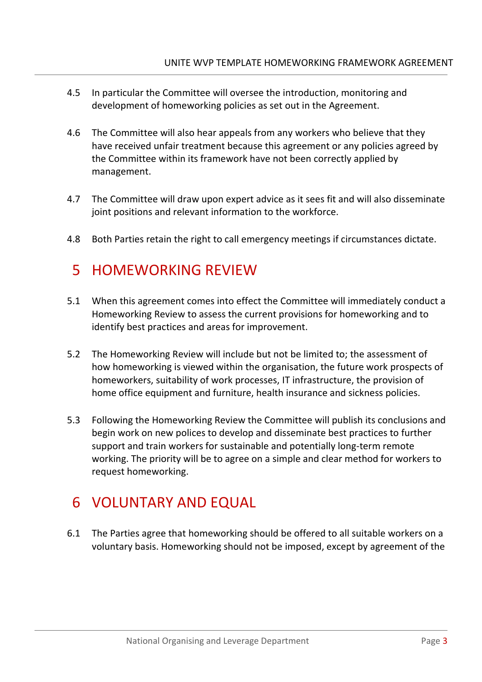- 4.5 In particular the Committee will oversee the introduction, monitoring and development of homeworking policies as set out in the Agreement.
- 4.6 The Committee will also hear appeals from any workers who believe that they have received unfair treatment because this agreement or any policies agreed by the Committee within its framework have not been correctly applied by management.
- 4.7 The Committee will draw upon expert advice as it sees fit and will also disseminate joint positions and relevant information to the workforce.
- 4.8 Both Parties retain the right to call emergency meetings if circumstances dictate.

#### 5 HOMEWORKING REVIEW

- 5.1 When this agreement comes into effect the Committee will immediately conduct a Homeworking Review to assess the current provisions for homeworking and to identify best practices and areas for improvement.
- 5.2 The Homeworking Review will include but not be limited to; the assessment of how homeworking is viewed within the organisation, the future work prospects of homeworkers, suitability of work processes, IT infrastructure, the provision of home office equipment and furniture, health insurance and sickness policies.
- 5.3 Following the Homeworking Review the Committee will publish its conclusions and begin work on new polices to develop and disseminate best practices to further support and train workers for sustainable and potentially long-term remote working. The priority will be to agree on a simple and clear method for workers to request homeworking.

# 6 VOLUNTARY AND EQUAL

6.1 The Parties agree that homeworking should be offered to all suitable workers on a voluntary basis. Homeworking should not be imposed, except by agreement of the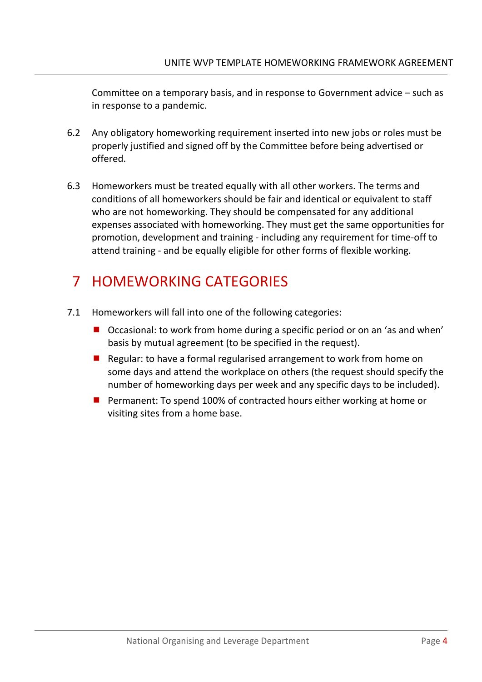Committee on a temporary basis, and in response to Government advice – such as in response to a pandemic.

- 6.2 Any obligatory homeworking requirement inserted into new jobs or roles must be properly justified and signed off by the Committee before being advertised or offered.
- 6.3 Homeworkers must be treated equally with all other workers. The terms and conditions of all homeworkers should be fair and identical or equivalent to staff who are not homeworking. They should be compensated for any additional expenses associated with homeworking. They must get the same opportunities for promotion, development and training - including any requirement for time-off to attend training - and be equally eligible for other forms of flexible working.

# 7 HOMEWORKING CATEGORIES

- 7.1 Homeworkers will fall into one of the following categories:
	- Occasional: to work from home during a specific period or on an 'as and when' basis by mutual agreement (to be specified in the request).
	- Regular: to have a formal regularised arrangement to work from home on some days and attend the workplace on others (the request should specify the number of homeworking days per week and any specific days to be included).
	- **Permanent: To spend 100% of contracted hours either working at home or** visiting sites from a home base.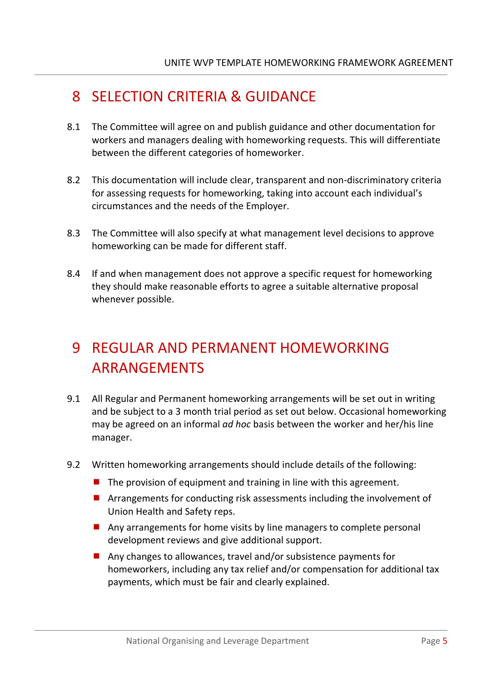### 8 SELECTION CRITERIA & GUIDANCE

- 8.1 The Committee will agree on and publish guidance and other documentation for workers and managers dealing with homeworking requests. This will differentiate between the different categories of homeworker.
- 8.2 This documentation will include clear, transparent and non-discriminatory criteria for assessing requests for homeworking, taking into account each individual's circumstances and the needs of the Employer.
- 8.3 The Committee will also specify at what management level decisions to approve homeworking can be made for different staff.
- 8.4 If and when management does not approve a specific request for homeworking they should make reasonable efforts to agree a suitable alternative proposal whenever possible.

# 9 REGULAR AND PERMANENT HOMEWORKING ARRANGEMENTS

- 9.1 All Regular and Permanent homeworking arrangements will be set out in writing and be subject to a 3 month trial period as set out below. Occasional homeworking may be agreed on an informal *ad hoc* basis between the worker and her/his line manager.
- 9.2 Written homeworking arrangements should include details of the following:
	- $\blacksquare$  The provision of equipment and training in line with this agreement.
	- **E** Arrangements for conducting risk assessments including the involvement of Union Health and Safety reps.
	- **Any arrangements for home visits by line managers to complete personal** development reviews and give additional support.
	- Any changes to allowances, travel and/or subsistence payments for homeworkers, including any tax relief and/or compensation for additional tax payments, which must be fair and clearly explained.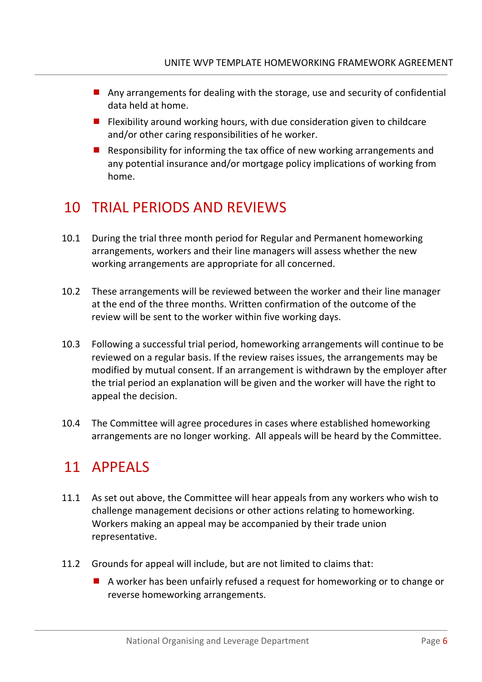- Any arrangements for dealing with the storage, use and security of confidential data held at home.
- $\blacksquare$  Flexibility around working hours, with due consideration given to childcare and/or other caring responsibilities of he worker.
- Responsibility for informing the tax office of new working arrangements and any potential insurance and/or mortgage policy implications of working from home.

### 10 TRIAL PERIODS AND REVIEWS

- 10.1 During the trial three month period for Regular and Permanent homeworking arrangements, workers and their line managers will assess whether the new working arrangements are appropriate for all concerned.
- 10.2 These arrangements will be reviewed between the worker and their line manager at the end of the three months. Written confirmation of the outcome of the review will be sent to the worker within five working days.
- 10.3 Following a successful trial period, homeworking arrangements will continue to be reviewed on a regular basis. If the review raises issues, the arrangements may be modified by mutual consent. If an arrangement is withdrawn by the employer after the trial period an explanation will be given and the worker will have the right to appeal the decision.
- 10.4 The Committee will agree procedures in cases where established homeworking arrangements are no longer working. All appeals will be heard by the Committee.

### 11 APPEALS

- 11.1 As set out above, the Committee will hear appeals from any workers who wish to challenge management decisions or other actions relating to homeworking. Workers making an appeal may be accompanied by their trade union representative.
- 11.2 Grounds for appeal will include, but are not limited to claims that:
	- A worker has been unfairly refused a request for homeworking or to change or reverse homeworking arrangements.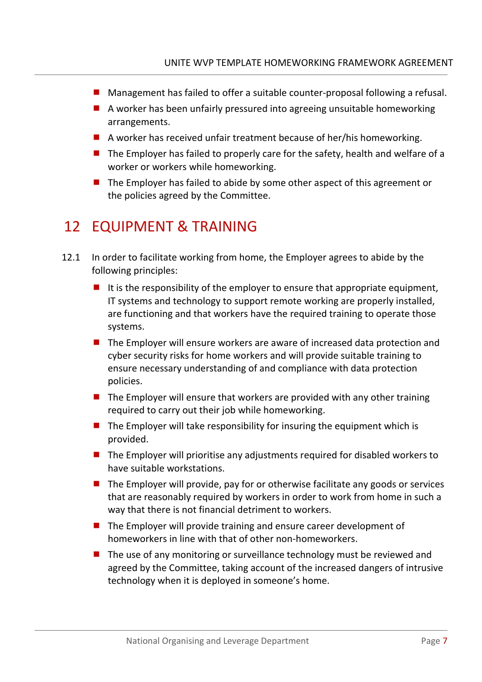- Management has failed to offer a suitable counter-proposal following a refusal.
- A worker has been unfairly pressured into agreeing unsuitable homeworking arrangements.
- A worker has received unfair treatment because of her/his homeworking.
- $\blacksquare$  The Employer has failed to properly care for the safety, health and welfare of a worker or workers while homeworking.
- $\blacksquare$  The Employer has failed to abide by some other aspect of this agreement or the policies agreed by the Committee.

#### 12 EQUIPMENT & TRAINING

- 12.1 In order to facilitate working from home, the Employer agrees to abide by the following principles:
	- It is the responsibility of the employer to ensure that appropriate equipment, IT systems and technology to support remote working are properly installed, are functioning and that workers have the required training to operate those systems.
	- The Employer will ensure workers are aware of increased data protection and cyber security risks for home workers and will provide suitable training to ensure necessary understanding of and compliance with data protection policies.
	- $\blacksquare$  The Employer will ensure that workers are provided with any other training required to carry out their job while homeworking.
	- $\blacksquare$  The Employer will take responsibility for insuring the equipment which is provided.
	- $\blacksquare$  The Employer will prioritise any adjustments required for disabled workers to have suitable workstations.
	- $\blacksquare$  The Employer will provide, pay for or otherwise facilitate any goods or services that are reasonably required by workers in order to work from home in such a way that there is not financial detriment to workers.
	- $\blacksquare$  The Employer will provide training and ensure career development of homeworkers in line with that of other non-homeworkers.
	- The use of any monitoring or surveillance technology must be reviewed and agreed by the Committee, taking account of the increased dangers of intrusive technology when it is deployed in someone's home.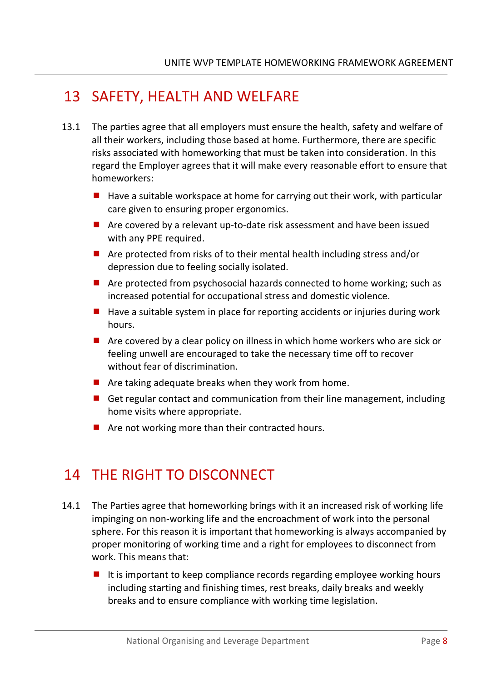### 13 SAFETY, HEALTH AND WELFARE

- 13.1 The parties agree that all employers must ensure the health, safety and welfare of all their workers, including those based at home. Furthermore, there are specific risks associated with homeworking that must be taken into consideration. In this regard the Employer agrees that it will make every reasonable effort to ensure that homeworkers:
	- $\blacksquare$  Have a suitable workspace at home for carrying out their work, with particular care given to ensuring proper ergonomics.
	- Are covered by a relevant up-to-date risk assessment and have been issued with any PPE required.
	- Are protected from risks of to their mental health including stress and/or depression due to feeling socially isolated.
	- Are protected from psychosocial hazards connected to home working; such as increased potential for occupational stress and domestic violence.
	- $\blacksquare$  Have a suitable system in place for reporting accidents or injuries during work hours.
	- $\blacksquare$  Are covered by a clear policy on illness in which home workers who are sick or feeling unwell are encouraged to take the necessary time off to recover without fear of discrimination.
	- $\blacksquare$  Are taking adequate breaks when they work from home.
	- Get regular contact and communication from their line management, including home visits where appropriate.
	- $\blacksquare$  Are not working more than their contracted hours.

### 14 THE RIGHT TO DISCONNECT

- 14.1 The Parties agree that homeworking brings with it an increased risk of working life impinging on non-working life and the encroachment of work into the personal sphere. For this reason it is important that homeworking is always accompanied by proper monitoring of working time and a right for employees to disconnect from work. This means that:
	- It is important to keep compliance records regarding employee working hours including starting and finishing times, rest breaks, daily breaks and weekly breaks and to ensure compliance with working time legislation.